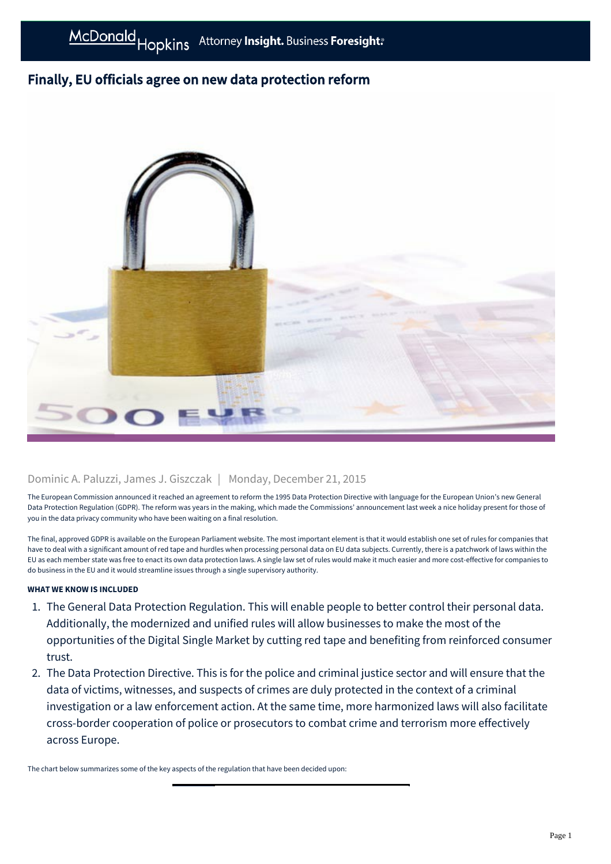# Finally, EU officials agree on new data protection reform



## Dominic A. Paluzzi, James J. Giszczak | Monday, December 21, 2015

The European Commission announced it reached an agreement to reform the 1995 Data Protection Directive with language for the European Union's new General Data Protection Regulation (GDPR). The reform was years in the making, which made the Commissions' announcement last week a nice holiday present for those of you in the data privacy community who have been waiting on a final resolution.

The final, approved GDPR is available on the European Parliament website. The most important element is that it would establish one set of rules for companies that have to deal with a significant amount of red tape and hurdles when processing personal data on EU data subjects. Currently, there is a patchwork of laws within the EU as each member state was free to enact its own data protection laws. A single law set of rules would make it much easier and more cost-effective for companies to do business in the EU and it would streamline issues through a single supervisory authority.

### **WHAT WE KNOW IS INCLUDED**

- 1. The General Data Protection Regulation. This will enable people to better control their personal data. Additionally, the modernized and unified rules will allow businesses to make the most of the opportunities of the Digital Single Market by cutting red tape and benefiting from reinforced consumer trust.
- 2. The Data Protection Directive. This is for the police and criminal justice sector and will ensure that the data of victims, witnesses, and suspects of crimes are duly protected in the context of a criminal investigation or a law enforcement action. At the same time, more harmonized laws will also facilitate cross-border cooperation of police or prosecutors to combat crime and terrorism more effectively across Europe.

The chart below summarizes some of the key aspects of the regulation that have been decided upon: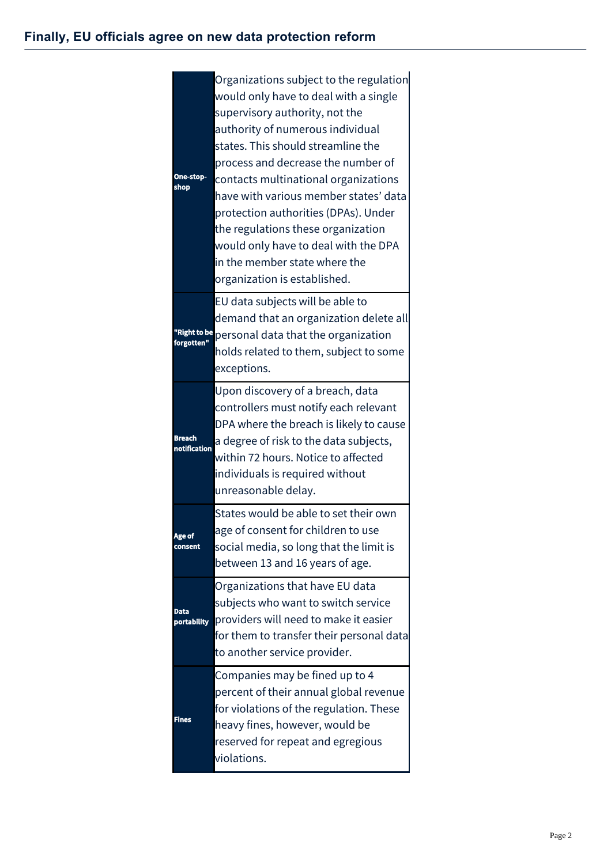| One-stop-<br>shop             | Organizations subject to the regulation<br>would only have to deal with a single<br>supervisory authority, not the<br>authority of numerous individual<br>states. This should streamline the<br>process and decrease the number of<br>contacts multinational organizations<br>have with various member states' data<br>protection authorities (DPAs). Under<br>the regulations these organization<br>would only have to deal with the DPA<br>in the member state where the<br>organization is established. |
|-------------------------------|------------------------------------------------------------------------------------------------------------------------------------------------------------------------------------------------------------------------------------------------------------------------------------------------------------------------------------------------------------------------------------------------------------------------------------------------------------------------------------------------------------|
| "Right to be<br>forgotten"    | EU data subjects will be able to<br>demand that an organization delete all<br>personal data that the organization<br>holds related to them, subject to some<br>exceptions.                                                                                                                                                                                                                                                                                                                                 |
| Breach<br><b>notification</b> | Upon discovery of a breach, data<br>controllers must notify each relevant<br>DPA where the breach is likely to cause<br>a degree of risk to the data subjects,<br>within 72 hours. Notice to affected<br>individuals is required without<br>unreasonable delay.                                                                                                                                                                                                                                            |
| Age of<br>consent             | States would be able to set their own<br>age of consent for children to use<br>social media, so long that the limit is<br>between 13 and 16 years of age.                                                                                                                                                                                                                                                                                                                                                  |
| Data<br>portability           | Organizations that have EU data<br>subjects who want to switch service<br>providers will need to make it easier<br>for them to transfer their personal data<br>to another service provider.                                                                                                                                                                                                                                                                                                                |
| <b>Fines</b>                  | Companies may be fined up to 4<br>percent of their annual global revenue<br>for violations of the regulation. These<br>heavy fines, however, would be<br>reserved for repeat and egregious<br>violations.                                                                                                                                                                                                                                                                                                  |